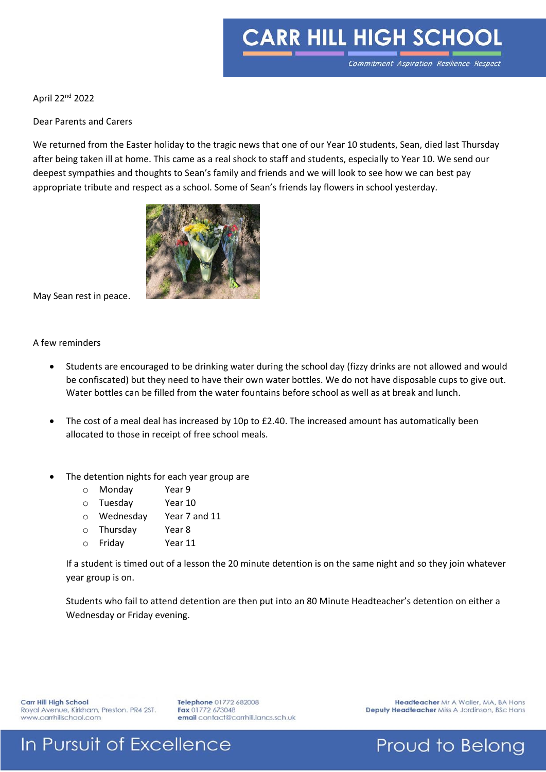# **CARR HILL HIGH SCHOOL**

April 22nd 2022

Dear Parents and Carers

We returned from the Easter holiday to the tragic news that one of our Year 10 students, Sean, died last Thursday after being taken ill at home. This came as a real shock to staff and students, especially to Year 10. We send our deepest sympathies and thoughts to Sean's family and friends and we will look to see how we can best pay appropriate tribute and respect as a school. Some of Sean's friends lay flowers in school yesterday.



May Sean rest in peace.

#### A few reminders

- Students are encouraged to be drinking water during the school day (fizzy drinks are not allowed and would be confiscated) but they need to have their own water bottles. We do not have disposable cups to give out. Water bottles can be filled from the water fountains before school as well as at break and lunch.
- The cost of a meal deal has increased by 10p to £2.40. The increased amount has automatically been allocated to those in receipt of free school meals.
- The detention nights for each year group are
	- o Monday Year 9
	- o Tuesday Year 10
	- o Wednesday Year 7 and 11
	- o Thursday Year 8
	- o Friday Year 11

If a student is timed out of a lesson the 20 minute detention is on the same night and so they join whatever year group is on.

Students who fail to attend detention are then put into an 80 Minute Headteacher's detention on either a Wednesday or Friday evening.

Carr Hill High School Royal Avenue, Kirkham, Preston. PR4 2ST. www.carrhillschool.com

Telephone 01772 682008 Fax 01772 673048 email contact@carrhill.lancs.sch.uk

Headteacher Mr A Waller, MA, BA Hons Deputy Headteacher Miss A Jordinson, BSc Hons

### In Pursuit of Excellence

Proud to Belong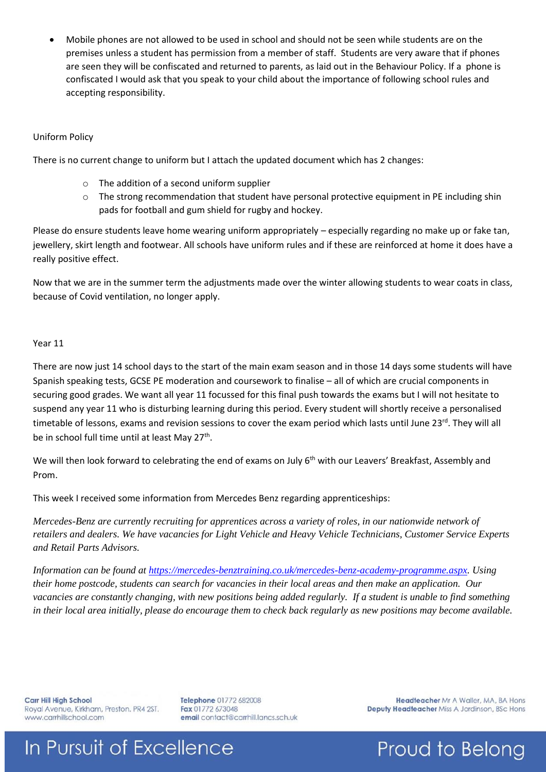Mobile phones are not allowed to be used in school and should not be seen while students are on the premises unless a student has permission from a member of staff. Students are very aware that if phones are seen they will be confiscated and returned to parents, as laid out in the Behaviour Policy. If a phone is confiscated I would ask that you speak to your child about the importance of following school rules and accepting responsibility.

### Uniform Policy

There is no current change to uniform but I attach the updated document which has 2 changes:

- o The addition of a second uniform supplier
- $\circ$  The strong recommendation that student have personal protective equipment in PE including shin pads for football and gum shield for rugby and hockey.

Please do ensure students leave home wearing uniform appropriately – especially regarding no make up or fake tan, jewellery, skirt length and footwear. All schools have uniform rules and if these are reinforced at home it does have a really positive effect.

Now that we are in the summer term the adjustments made over the winter allowing students to wear coats in class, because of Covid ventilation, no longer apply.

#### Year 11

There are now just 14 school days to the start of the main exam season and in those 14 days some students will have Spanish speaking tests, GCSE PE moderation and coursework to finalise – all of which are crucial components in securing good grades. We want all year 11 focussed for this final push towards the exams but I will not hesitate to suspend any year 11 who is disturbing learning during this period. Every student will shortly receive a personalised timetable of lessons, exams and revision sessions to cover the exam period which lasts until June 23<sup>rd</sup>. They will all be in school full time until at least May 27<sup>th</sup>.

We will then look forward to celebrating the end of exams on July 6<sup>th</sup> with our Leavers' Breakfast, Assembly and Prom.

This week I received some information from Mercedes Benz regarding apprenticeships:

*Mercedes-Benz are currently recruiting for apprentices across a variety of roles, in our nationwide network of retailers and dealers. We have vacancies for Light Vehicle and Heavy Vehicle Technicians, Customer Service Experts and Retail Parts Advisors.* 

*Information can be found at [https://mercedes-benztraining.co.uk/mercedes-benz-academy-programme.aspx.](https://eu-west-1.protection.sophos.com/?d=mercedes-benztraining.co.uk&u=aHR0cHM6Ly9tZXJjZWRlcy1iZW56dHJhaW5pbmcuY28udWsvbWVyY2VkZXMtYmVuei1hY2FkZW15LXByb2dyYW1tZS5hc3B4&i=NWY4NWI1ZmQ3Y2Y5NTAwZTI4ZjQ2NTZj&t=UVp2enJrS2lwd284SjQ3QmVOaVVQSTdFZVpMRklnb0JHdmcvaHIzSGttTT0=&h=2f2919da500b4545bb6d4b0ac5490e47) Using their home postcode, students can search for vacancies in their local areas and then make an application. Our vacancies are constantly changing, with new positions being added regularly. If a student is unable to find something in their local area initially, please do encourage them to check back regularly as new positions may become available.* 

**Carr Hill High School** Royal Avenue, Kirkham, Preston. PR4 2ST. www.carrhillschool.com

Telephone 01772 682008 Fax 01772 673048 email contact@carrhill.lancs.sch.uk

Headteacher Mr A Waller, MA, BA Hons Deputy Headteacher Miss A Jordinson, BSc Hons

Proud to Belong

# In Pursuit of Excellence